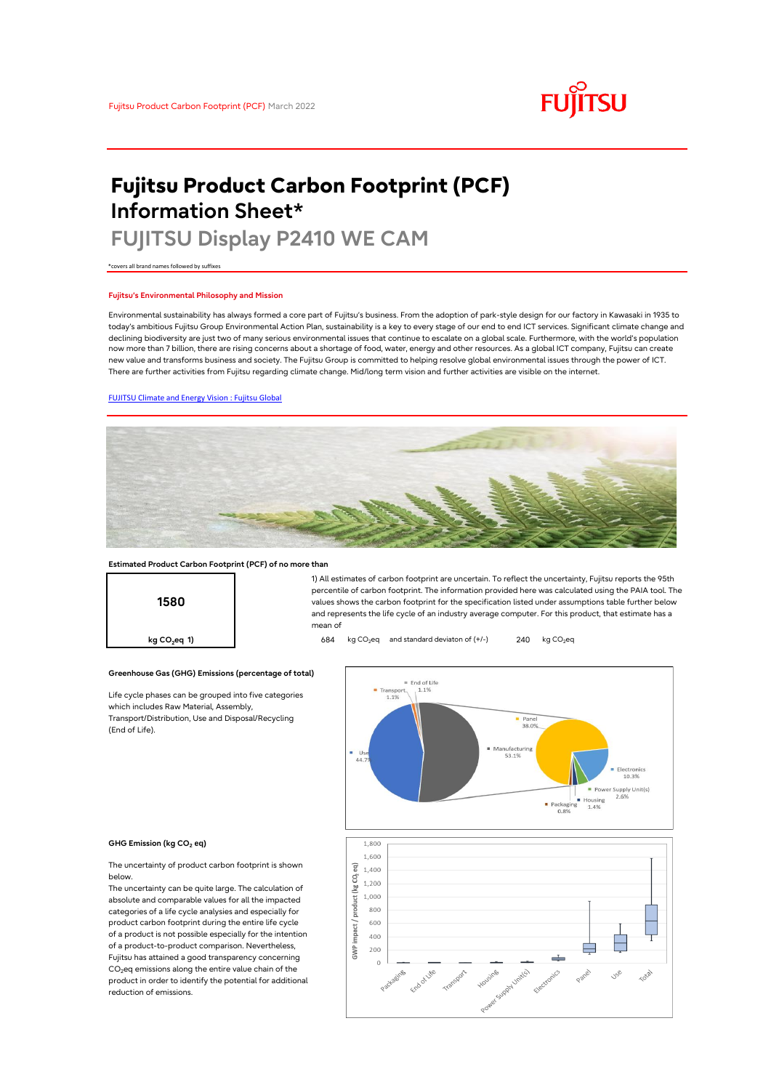# **FUJITSU**

# **Fujitsu Product Carbon Footprint (PCF) Information Sheet\***

# **FUJITSU Display P2410 WE CAM**

\*covers all brand names followed by suffixes

## **Fujitsu's Environmental Philosophy and Mission**

Environmental sustainability has always formed a core part of Fujitsu's business. From the adoption of park-style design for our factory in Kawasaki in 1935 to today's ambitious Fujitsu Group Environmental Action Plan, sustainability is a key to every stage of our end to end ICT services. Significant climate change and declining biodiversity are just two of many serious environmental issues that continue to escalate on a global scale. Furthermore, with the world's population now more than 7 billion, there are rising concerns about a shortage of food, water, energy and other resources. As a global ICT company, Fujitsu can create new value and transforms business and society. The Fujitsu Group is committed to helping resolve global environmental issues through the power of ICT. There are further activities from Fujitsu regarding climate change. Mid/long term vision and further activities are visible on the internet.

# [FUJITSU Climate and Energy Vision : Fujitsu Global](https://www.fujitsu.com/global/about/environment/climate-energy-vision/)



mean of

### **Estimated Product Carbon Footprint (PCF) of no more than**



**Greenhouse Gas (GHG) Emissions (percentage of total)**

Life cycle phases can be grouped into five categories which includes Raw Material, Assembly, Transport/Distribution, Use and Disposal/Recycling (End of Life).



1) All estimates of carbon footprint are uncertain. To reflect the uncertainty, Fujitsu reports the 95th percentile of carbon footprint. The information provided here was calculated using the PAIA tool. The values shows the carbon footprint for the specification listed under assumptions table further below and represents the life cycle of an industry average computer. For this product, that estimate has a

#### **GHG Emission (kg CO<sup>2</sup> eq)**

The uncertainty of product carbon footprint is shown below.

The uncertainty can be quite large. The calculation of absolute and comparable values for all the impacted categories of a life cycle analysies and especially for product carbon footprint during the entire life cycle of a product is not possible especially for the intention of a product-to-product comparison. Nevertheless, Fujitsu has attained a good transparency concerning  $CO<sub>2</sub>$ eq emissions along the entire value chain of the product in order to identify the potential for additional reduction of emissions.